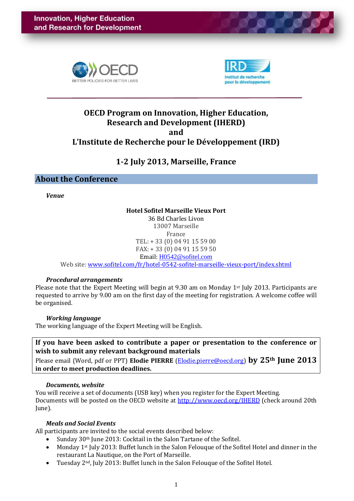



# **OECD Program on Innovation, Higher Education, Research and Development (IHERD) and L'Institute de Recherche pour le Développement (IRD)**

# **1-2 July 2013, Marseille, France**

# **About the Conference**

*Venue*

# **Hotel Sofitel Marseille Vieux Port**

36 Bd Charles Livon 13007 Marseille France TEL: + 33 (0) 04 91 15 59 00 FAX: + 33 (0) 04 91 15 59 50 Email: [H0542@sofitel.com](mailto:H0542@sofitel.com)

Web site: [www.sofitel.com/fr/hotel-0542-sofitel-marseille-vieux-port/index.shtml](http://www.sofitel.com/fr/hotel-0542-sofitel-marseille-vieux-port/index.shtml)

## *Procedural arrangements*

Please note that the Expert Meeting will begin at 9.30 am on Monday 1<sup>st</sup> July 2013. Participants are requested to arrive by 9.00 am on the first day of the meeting for registration. A welcome coffee will be organised.

## *Working language*

The working language of the Expert Meeting will be English.

**If you have been asked to contribute a paper or presentation to the conference or wish to submit any relevant background materials**

Please email (Word, pdf or PPT) **Elodie PIERRE** [\(Elodie.pierre@oecd.org\)](mailto:Elodie.pierre@oecd.org) **by 25th June 2013 in order to meet production deadlines.**

#### *Documents, website*

You will receive a set of documents (USB key) when you register for the Expert Meeting. Documents will be posted on the OECD website at<http://www.oecd.org/IHERD> (check around 20th June).

## *Meals and Social Events*

All participants are invited to the social events described below:

- Sunday 30<sup>th</sup> June 2013: Cocktail in the Salon Tartane of the Sofitel.
- Monday 1st July 2013: Buffet lunch in the Salon Felouque of the Sofitel Hotel and dinner in the restaurant La Nautique, on the Port of Marseille.
- Tuesday 2nd, July 2013: Buffet lunch in the Salon Felouque of the Sofitel Hotel.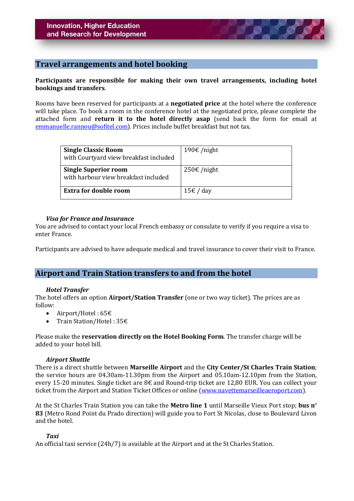# **Travel arrangements and hotel booking**

## **Participants are responsible for making their own travel arrangements, including hotel bookings and transfers**.

Rooms have been reserved for participants at a **negotiated price** at the hotel where the conference will take place. To book a room in the conference hotel at the negotiated price, please complete the attached form and **return it to the hotel directly asap** (send back the form for email at [emmanuelle.rannou@sofitel.com\)](mailto:emmanuelle.rannou@sofitel.com). Prices include buffet breakfast but not tax.

| <b>Single Classic Room</b><br>with Courtyard view breakfast included | 190€/night    |
|----------------------------------------------------------------------|---------------|
| <b>Single Superior room</b><br>with harbour view breakfast included  | $250€$ /night |
| <b>Extra for double room</b>                                         | 15€ / day     |

#### *Visa for France and Insurance*

You are advised to contact your local French embassy or consulate to verify if you require a visa to enter France.

Participants are advised to have adequate medical and travel insurance to cover their visit to France.

# **Airport and Train Station transfers to and from the hotel**

#### *Hotel Transfer*

The hotel offers an option **Airport/Station Transfer** (one or two way ticket). The prices are as follow:

- Airport/Hotel :  $65 $\in$$
- Train Station/Hotel : 35€

Please make the **reservation directly on the Hotel Booking Form**. The transfer charge will be added to your hotel bill.

#### *Airport Shuttle*

There is a direct shuttle between **Marseille Airport** and the **City Center/St Charles Train Station**; the service hours are 04.30am-11.30pm from the Airport and 05.10am-12.10pm from the Station, every 15-20 minutes. Single ticket are 8€ and Round-trip ticket are 12,80 EUR. You can collect your ticket from the Airport and Station Ticket Offices or online [\(www.navettemarseilleaeroport.com\)](http://www.navettemarseilleaeroport.com/).

At the St Charles Train Station you can take the **Metro line 1** until Marseille Vieux Port stop; **bus n**º **83** (Metro Rond Point du Prado direction) will guide you to Fort St Nicolas, close to Boulevard Livon and the hotel.

## *Taxi*

An official taxi service (24h/7) is available at the Airport and at the St Charles Station.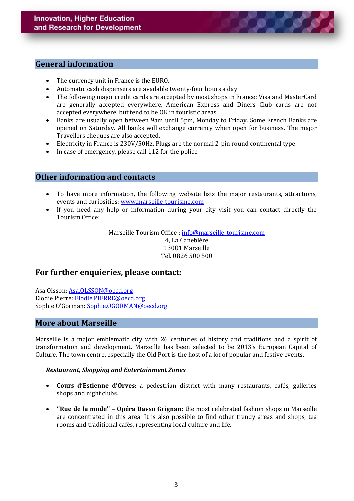# **General information**

- The currency unit in France is the EURO.
- Automatic cash dispensers are available twenty-four hours a day.
- The following major credit cards are accepted by most shops in France: Visa and MasterCard are generally accepted everywhere, American Express and Diners Club cards are not accepted everywhere, but tend to be OK in touristic areas.
- Banks are usually open between 9am until 5pm, Monday to Friday. Some French Banks are opened on Saturday. All banks will exchange currency when open for business. The major Travellers cheques are also accepted.
- Electricity in France is 230V/50Hz. Plugs are the normal 2-pin round continental type.
- In case of emergency, please call 112 for the police.

# **Other information and contacts**

- To have more information, the following website lists the major restaurants, attractions, events and curiosities: [www.marseille-tourisme.com](http://www.marseille-tourisme.com/)
- If you need any help or information during your city visit you can contact directly the Tourism Office:

Marseille Tourism Office : [info@marseille-tourisme.com](mailto:info@marseille-tourisme.com) 4, La Canebière 13001 Marseille Tel. 0826 500 500

# **For further enquieries, please contact:**

Asa Olsson: [Asa.OLSSON@oecd.org](mailto:Asa.OLSSON@oecd.org) Elodie Pierre: [Elodie.PIERRE@oecd.org](mailto:Elodie.PIERRE@oecd.org) Sophie O'Gorman: [Sophie.OGORMAN@oecd.org](mailto:Sophie.OGORMAN@oecd.org)

# **More about Marseille**

Marseille is a major emblematic city with 26 centuries of history and traditions and a spirit of transformation and development. Marseille has been selected to be 2013's European Capital of Culture. The town centre, especially the Old Port is the host of a lot of popular and festive events.

#### *Restaurant, Shopping and Entertainment Zones*

- **Cours d'Estienne d'Orves:** a pedestrian district with many restaurants, cafés, galleries shops and night clubs.
- **''Rue de la mode'' – Opéra Davso Grignan:** the most celebrated fashion shops in Marseille are concentrated in this area. It is also possible to find other trendy areas and shops, tea rooms and traditional cafés, representing local culture and life.